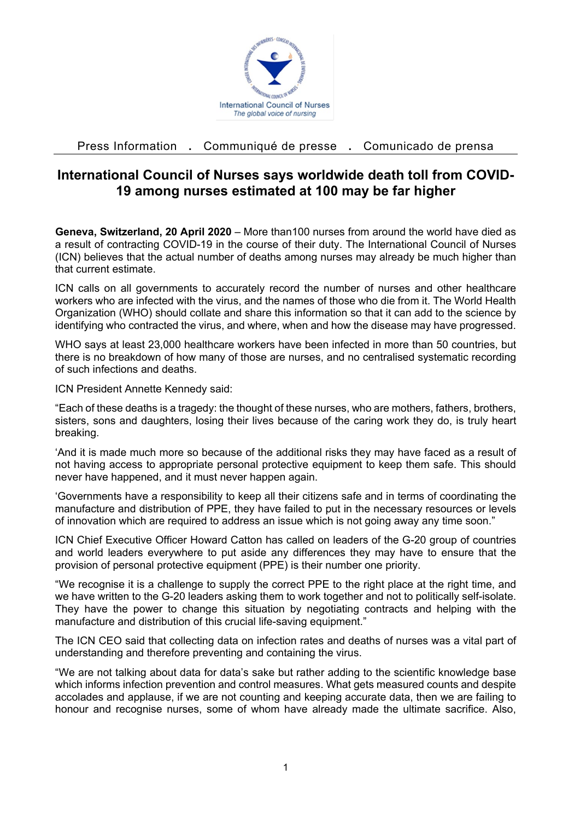

Press Information **.** Communiqué de presse **.** Comunicado de prensa

## **International Council of Nurses says worldwide death toll from COVID-19 among nurses estimated at 100 may be far higher**

**Geneva, Switzerland, 20 April 2020** – More than100 nurses from around the world have died as a result of contracting COVID-19 in the course of their duty. The International Council of Nurses (ICN) believes that the actual number of deaths among nurses may already be much higher than that current estimate.

ICN calls on all governments to accurately record the number of nurses and other healthcare workers who are infected with the virus, and the names of those who die from it. The World Health Organization (WHO) should collate and share this information so that it can add to the science by identifying who contracted the virus, and where, when and how the disease may have progressed.

WHO says at least 23,000 healthcare workers have been infected in more than 50 countries, but there is no breakdown of how many of those are nurses, and no centralised systematic recording of such infections and deaths.

ICN President Annette Kennedy said:

"Each of these deaths is a tragedy: the thought of these nurses, who are mothers, fathers, brothers, sisters, sons and daughters, losing their lives because of the caring work they do, is truly heart breaking.

'And it is made much more so because of the additional risks they may have faced as a result of not having access to appropriate personal protective equipment to keep them safe. This should never have happened, and it must never happen again.

'Governments have a responsibility to keep all their citizens safe and in terms of coordinating the manufacture and distribution of PPE, they have failed to put in the necessary resources or levels of innovation which are required to address an issue which is not going away any time soon."

ICN Chief Executive Officer Howard Catton has called on leaders of the G-20 group of countries and world leaders everywhere to put aside any differences they may have to ensure that the provision of personal protective equipment (PPE) is their number one priority.

"We recognise it is a challenge to supply the correct PPE to the right place at the right time, and we have written to the G-20 leaders asking them to work together and not to politically self-isolate. They have the power to change this situation by negotiating contracts and helping with the manufacture and distribution of this crucial life-saving equipment."

The ICN CEO said that collecting data on infection rates and deaths of nurses was a vital part of understanding and therefore preventing and containing the virus.

"We are not talking about data for data's sake but rather adding to the scientific knowledge base which informs infection prevention and control measures. What gets measured counts and despite accolades and applause, if we are not counting and keeping accurate data, then we are failing to honour and recognise nurses, some of whom have already made the ultimate sacrifice. Also,